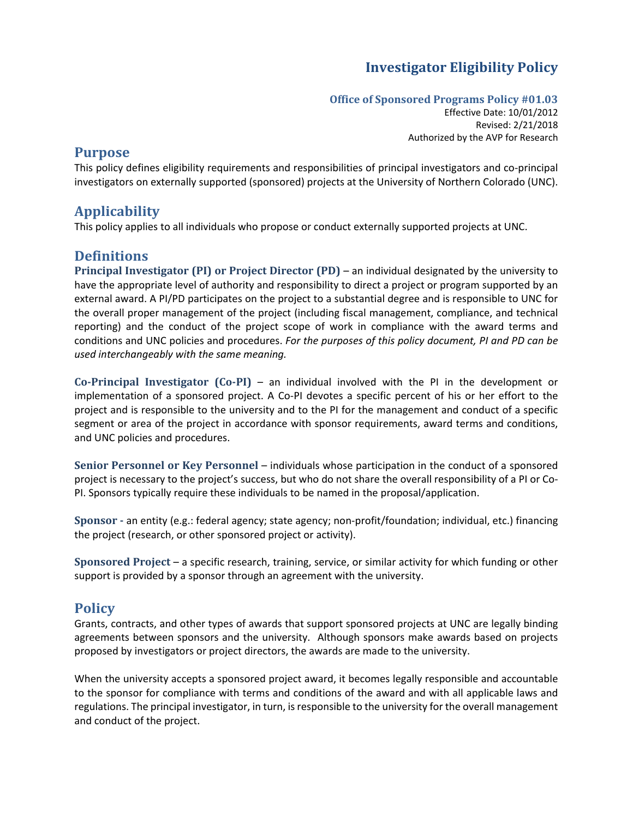# **Investigator Eligibility Policy**

#### **Office of Sponsored Programs Policy #01.03**

Effective Date: 10/01/2012 Revised: 2/21/2018 Authorized by the AVP for Research

### **Purpose**

This policy defines eligibility requirements and responsibilities of principal investigators and co-principal investigators on externally supported (sponsored) projects at the University of Northern Colorado (UNC).

## **Applicability**

This policy applies to all individuals who propose or conduct externally supported projects at UNC.

## **Definitions**

**Principal Investigator (PI) or Project Director (PD)** – an individual designated by the university to have the appropriate level of authority and responsibility to direct a project or program supported by an external award. A PI/PD participates on the project to a substantial degree and is responsible to UNC for the overall proper management of the project (including fiscal management, compliance, and technical reporting) and the conduct of the project scope of work in compliance with the award terms and conditions and UNC policies and procedures. *For the purposes of this policy document, PI and PD can be used interchangeably with the same meaning.*

**Co-Principal Investigator (Co-PI)** – an individual involved with the PI in the development or implementation of a sponsored project. A Co-PI devotes a specific percent of his or her effort to the project and is responsible to the university and to the PI for the management and conduct of a specific segment or area of the project in accordance with sponsor requirements, award terms and conditions, and UNC policies and procedures.

**Senior Personnel or Key Personnel** – individuals whose participation in the conduct of a sponsored project is necessary to the project's success, but who do not share the overall responsibility of a PI or Co-PI. Sponsors typically require these individuals to be named in the proposal/application.

**Sponsor -** an entity (e.g.: federal agency; state agency; non-profit/foundation; individual, etc.) financing the project (research, or other sponsored project or activity).

**Sponsored Project** – a specific research, training, service, or similar activity for which funding or other support is provided by a sponsor through an agreement with the university.

## **Policy**

Grants, contracts, and other types of awards that support sponsored projects at UNC are legally binding agreements between sponsors and the university. Although sponsors make awards based on projects proposed by investigators or project directors, the awards are made to the university.

When the university accepts a sponsored project award, it becomes legally responsible and accountable to the sponsor for compliance with terms and conditions of the award and with all applicable laws and regulations. The principal investigator, in turn, is responsible to the university for the overall management and conduct of the project.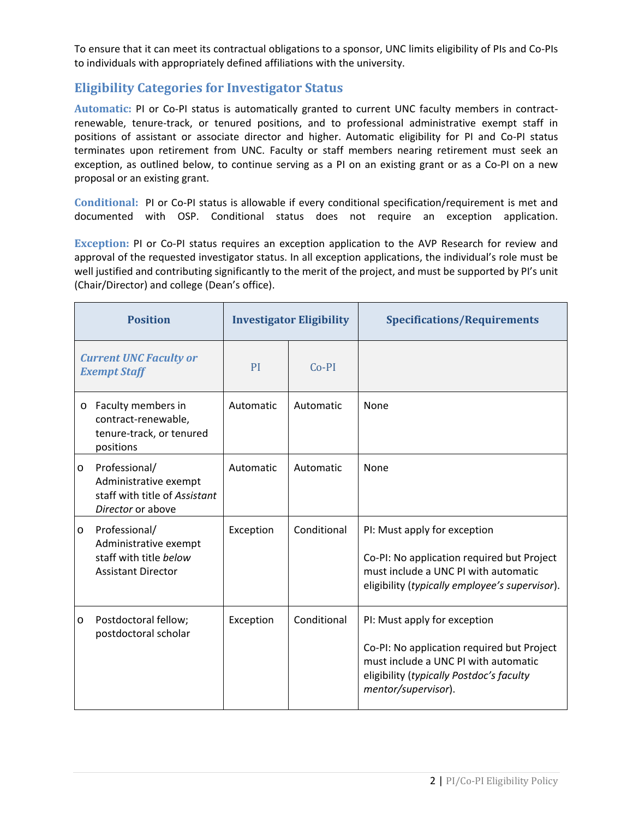To ensure that it can meet its contractual obligations to a sponsor, UNC limits eligibility of PIs and Co-PIs to individuals with appropriately defined affiliations with the university.

## **Eligibility Categories for Investigator Status**

**Automatic:** PI or Co-PI status is automatically granted to current UNC faculty members in contractrenewable, tenure-track, or tenured positions, and to professional administrative exempt staff in positions of assistant or associate director and higher. Automatic eligibility for PI and Co-PI status terminates upon retirement from UNC. Faculty or staff members nearing retirement must seek an exception, as outlined below, to continue serving as a PI on an existing grant or as a Co-PI on a new proposal or an existing grant.

**Conditional:** PI or Co-PI status is allowable if every conditional specification/requirement is met and documented with OSP. Conditional status does not require an exception application.

**Exception:** PI or Co-PI status requires an exception application to the AVP Research for review and approval of the requested investigator status. In all exception applications, the individual's role must be well justified and contributing significantly to the merit of the project, and must be supported by PI's unit (Chair/Director) and college (Dean's office).

| <b>Position</b>                                      |                                                                                               | <b>Investigator Eligibility</b> |             | <b>Specifications/Requirements</b>                                                                                                                                                    |
|------------------------------------------------------|-----------------------------------------------------------------------------------------------|---------------------------------|-------------|---------------------------------------------------------------------------------------------------------------------------------------------------------------------------------------|
| <b>Current UNC Faculty or</b><br><b>Exempt Staff</b> |                                                                                               | PI                              | $Co-PI$     |                                                                                                                                                                                       |
| $\circ$                                              | Faculty members in<br>contract-renewable,<br>tenure-track, or tenured<br>positions            | Automatic                       | Automatic   | None                                                                                                                                                                                  |
| $\circ$                                              | Professional/<br>Administrative exempt<br>staff with title of Assistant<br>Director or above  | Automatic                       | Automatic   | None                                                                                                                                                                                  |
| $\circ$                                              | Professional/<br>Administrative exempt<br>staff with title below<br><b>Assistant Director</b> | Exception                       | Conditional | PI: Must apply for exception<br>Co-PI: No application required but Project<br>must include a UNC PI with automatic<br>eligibility (typically employee's supervisor).                  |
| $\circ$                                              | Postdoctoral fellow;<br>postdoctoral scholar                                                  | Exception                       | Conditional | PI: Must apply for exception<br>Co-PI: No application required but Project<br>must include a UNC PI with automatic<br>eligibility (typically Postdoc's faculty<br>mentor/supervisor). |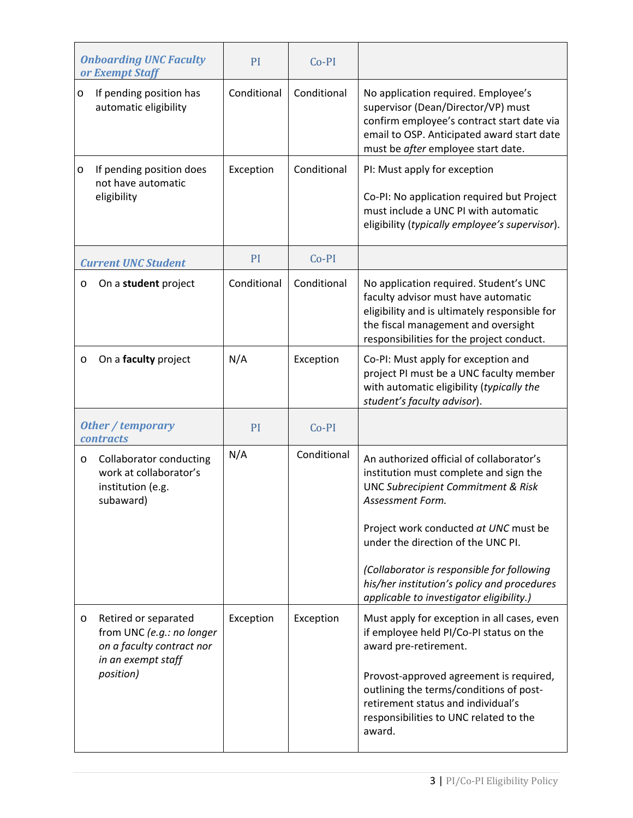| <b>Onboarding UNC Faculty</b><br>or Exempt Staff |                                                                                                                   | PI          | $Co-PI$     |                                                                                                                                                                                                                                                                                                                                                                                 |
|--------------------------------------------------|-------------------------------------------------------------------------------------------------------------------|-------------|-------------|---------------------------------------------------------------------------------------------------------------------------------------------------------------------------------------------------------------------------------------------------------------------------------------------------------------------------------------------------------------------------------|
| $\circ$                                          | If pending position has<br>automatic eligibility                                                                  | Conditional | Conditional | No application required. Employee's<br>supervisor (Dean/Director/VP) must<br>confirm employee's contract start date via<br>email to OSP. Anticipated award start date<br>must be after employee start date.                                                                                                                                                                     |
| $\circ$                                          | If pending position does<br>not have automatic<br>eligibility                                                     | Exception   | Conditional | PI: Must apply for exception<br>Co-PI: No application required but Project<br>must include a UNC PI with automatic<br>eligibility (typically employee's supervisor).                                                                                                                                                                                                            |
|                                                  | <b>Current UNC Student</b>                                                                                        | PI          | $Co-PI$     |                                                                                                                                                                                                                                                                                                                                                                                 |
| O                                                | On a student project                                                                                              | Conditional | Conditional | No application required. Student's UNC<br>faculty advisor must have automatic<br>eligibility and is ultimately responsible for<br>the fiscal management and oversight<br>responsibilities for the project conduct.                                                                                                                                                              |
| O                                                | On a faculty project                                                                                              | N/A         | Exception   | Co-PI: Must apply for exception and<br>project PI must be a UNC faculty member<br>with automatic eligibility (typically the<br>student's faculty advisor).                                                                                                                                                                                                                      |
| <b>Other / temporary</b><br><b>contracts</b>     |                                                                                                                   | PI          | $Co-PI$     |                                                                                                                                                                                                                                                                                                                                                                                 |
| O                                                | <b>Collaborator conducting</b><br>work at collaborator's<br>institution (e.g.<br>subaward)                        | N/A         | Conditional | An authorized official of collaborator's<br>institution must complete and sign the<br><b>UNC Subrecipient Commitment &amp; Risk</b><br>Assessment Form.<br>Project work conducted at UNC must be<br>under the direction of the UNC PI.<br>(Collaborator is responsible for following<br>his/her institution's policy and procedures<br>applicable to investigator eligibility.) |
| $\circ$                                          | Retired or separated<br>from UNC (e.g.: no longer<br>on a faculty contract nor<br>in an exempt staff<br>position) | Exception   | Exception   | Must apply for exception in all cases, even<br>if employee held PI/Co-PI status on the<br>award pre-retirement.<br>Provost-approved agreement is required,<br>outlining the terms/conditions of post-<br>retirement status and individual's<br>responsibilities to UNC related to the<br>award.                                                                                 |